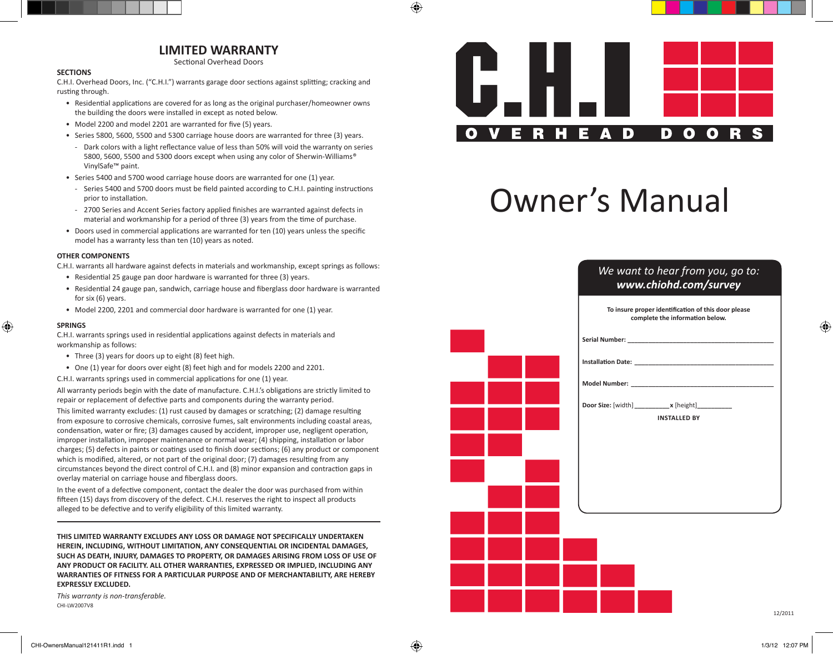## **LIMITED WARRANTY**

Sectional Overhead Doors

### **SECTIONS**

C.H.I. Overhead Doors, Inc. ("C.H.I.") warrants garage door sections against splitting; cracking and rusting through.

- Residential applications are covered for as long as the original purchaser/homeowner owns the building the doors were installed in except as noted below.
- Model 2200 and model 2201 are warranted for five (5) years.
- Series 5800, 5600, 5500 and 5300 carriage house doors are warranted for three (3) years.
- Dark colors with a light reflectance value of less than 50% will void the warranty on series 5800, 5600, 5500 and 5300 doors except when using any color of Sherwin-Williams® VinylSafe™ paint.
- Series 5400 and 5700 wood carriage house doors are warranted for one (1) year.
	- Series 5400 and 5700 doors must be field painted according to C.H.I. painting instructions prior to installation.
- 2700 Series and Accent Series factory applied finishes are warranted against defects in material and workmanship for a period of three (3) years from the time of purchase.
- Doors used in commercial applications are warranted for ten (10) years unless the specific model has a warranty less than ten (10) years as noted.

### **OTHER COMPONENTS**

C.H.I. warrants all hardware against defects in materials and workmanship, except springs as follows:

- Residential 25 gauge pan door hardware is warranted for three (3) years.
- Residential 24 gauge pan, sandwich, carriage house and fiberglass door hardware is warranted for six (6) years.
- Model 2200, 2201 and commercial door hardware is warranted for one (1) year.

#### **SPRINGS**

C.H.I. warrants springs used in residential applications against defects in materials and workmanship as follows:

- Three (3) years for doors up to eight (8) feet high.
- One (1) year for doors over eight (8) feet high and for models 2200 and 2201.
- C.H.I. warrants springs used in commercial applications for one (1) year.

All warranty periods begin with the date of manufacture. C.H.I.'s obligations are strictly limited to repair or replacement of defective parts and components during the warranty period.

This limited warranty excludes: (1) rust caused by damages or scratching; (2) damage resulting from exposure to corrosive chemicals, corrosive fumes, salt environments including coastal areas, condensation, water or fire; (3) damages caused by accident, improper use, negligent operation, improper installation, improper maintenance or normal wear; (4) shipping, installation or labor charges; (5) defects in paints or coatings used to finish door sections; (6) any product or component which is modified, altered, or not part of the original door; (7) damages resulting from any circumstances beyond the direct control of C.H.I. and (8) minor expansion and contraction gaps in overlay material on carriage house and fiberglass doors.

In the event of a defective component, contact the dealer the door was purchased from within fifteen (15) days from discovery of the defect. C.H.I. reserves the right to inspect all products alleged to be defective and to verify eligibility of this limited warranty.

**THIS LIMITED WARRANTY EXCLUDES ANY LOSS OR DAMAGE NOT SPECIFICALLY UNDERTAKEN HEREIN, INCLUDING, WITHOUT LIMITATION, ANY CONSEQUENTIAL OR INCIDENTAL DAMAGES, SUCH AS DEATH, INJURY, DAMAGES TO PROPERTY, OR DAMAGES ARISING FROM LOSS OF USE OF ANY PRODUCT OR FACILITY. ALL OTHER WARRANTIES, EXPRESSED OR IMPLIED, INCLUDING ANY WARRANTIES OF FITNESS FOR A PARTICULAR PURPOSE AND OF MERCHANTABILITY, ARE HEREBY EXPRESSLY EXCLUDED.**

*This warranty is non-transferable.* CHI-LW2007V8



# Owner's Manual

## *We want to hear from you, go to: www.chiohd.com/survey*

| To insure proper identification of this door please<br>complete the information below. |
|----------------------------------------------------------------------------------------|
|                                                                                        |
|                                                                                        |
|                                                                                        |
| Door Size: [width] ___________ x [height] _________                                    |
| <b>INSTALLED BY</b>                                                                    |
|                                                                                        |
|                                                                                        |
|                                                                                        |
|                                                                                        |
|                                                                                        |
|                                                                                        |
| 12/20                                                                                  |